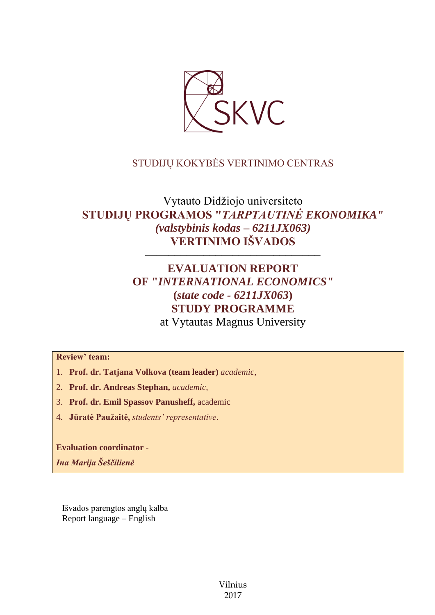

# STUDIJŲ KOKYBĖS VERTINIMO CENTRAS

# Vytauto Didžiojo universiteto **STUDIJŲ PROGRAMOS "***TARPTAUTINĖ EKONOMIKA" (valstybinis kodas – 6211JX063)* **VERTINIMO IŠVADOS**

––––––––––––––––––––––––––––––

# **EVALUATION REPORT OF "***INTERNATIONAL ECONOMICS"*  **(***state code - 6211JX063***) STUDY PROGRAMME** at Vytautas Magnus University

## **Review' team:**

- 1. **Prof. dr. Tatjana Volkova (team leader)** *academic,*
- 2. **Prof. dr. Andreas Stephan,** *academic,*
- 3. **Prof. dr. Emil Spassov Panusheff,** academic
- 4. **Jūratė Paužaitė,** *students' representative*.

**Evaluation coordinator -** *Ina Marija Šeščilienė* 

Išvados parengtos anglų kalba Report language – English

> Vilnius 2017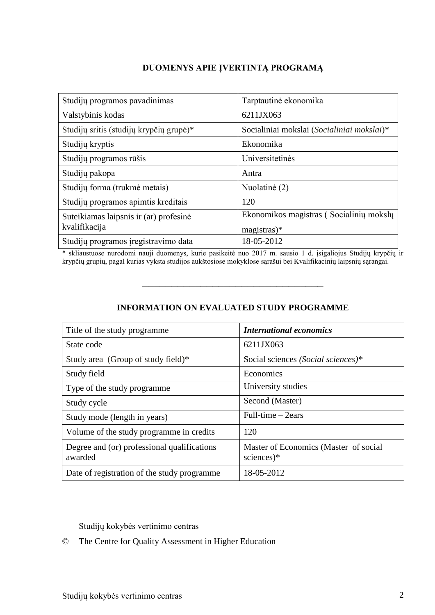## **DUOMENYS APIE ĮVERTINTĄ PROGRAMĄ**

| Studijų programos pavadinimas           | Tarptautinė ekonomika                      |
|-----------------------------------------|--------------------------------------------|
| Valstybinis kodas                       | 6211JX063                                  |
| Studijų sritis (studijų krypčių grupė)* | Socialiniai mokslai (Socialiniai mokslai)* |
| Studijų kryptis                         | Ekonomika                                  |
| Studijų programos rūšis                 | Universitetinės                            |
| Studijų pakopa                          | Antra                                      |
| Studijų forma (trukmė metais)           | Nuolatinė (2)                              |
| Studijų programos apimtis kreditais     | 120                                        |
| Suteikiamas laipsnis ir (ar) profesinė  | Ekonomikos magistras (Socialinių mokslų    |
| kvalifikacija                           | $magistras)*$                              |
| Studijų programos įregistravimo data    | 18-05-2012                                 |

\* skliaustuose nurodomi nauji duomenys, kurie pasikeitė nuo 2017 m. sausio 1 d. įsigaliojus Studijų krypčių ir krypčių grupių, pagal kurias vyksta studijos aukštosiose mokyklose sąrašui bei Kvalifikacinių laipsnių sąrangai.

## **INFORMATION ON EVALUATED STUDY PROGRAMME**

–––––––––––––––––––––––––––––––

| Title of the study programme.                          | <b>International economics</b>                          |
|--------------------------------------------------------|---------------------------------------------------------|
| State code                                             | 6211JX063                                               |
| Study area (Group of study field)*                     | Social sciences (Social sciences)*                      |
| Study field                                            | Economics                                               |
| Type of the study programme                            | University studies                                      |
| Study cycle                                            | Second (Master)                                         |
| Study mode (length in years)                           | Full-time $-$ 2ears                                     |
| Volume of the study programme in credits               | 120                                                     |
| Degree and (or) professional qualifications<br>awarded | Master of Economics (Master of social<br>sciences $)$ * |
| Date of registration of the study programme            | 18-05-2012                                              |

Studijų kokybės vertinimo centras

© The Centre for Quality Assessment in Higher Education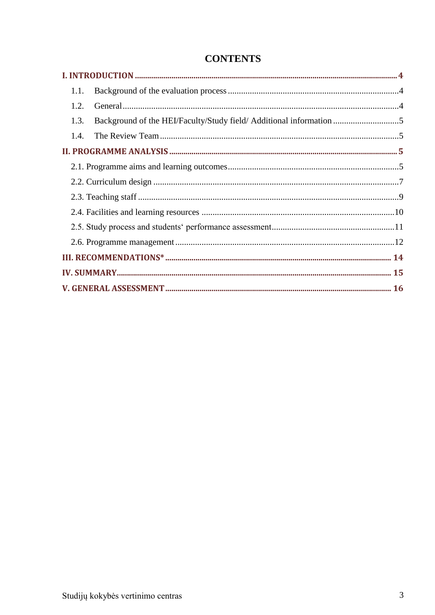| Background of the HEI/Faculty/Study field/ Additional information 5 |  |  |
|---------------------------------------------------------------------|--|--|
|                                                                     |  |  |
|                                                                     |  |  |
|                                                                     |  |  |
|                                                                     |  |  |
|                                                                     |  |  |
|                                                                     |  |  |
|                                                                     |  |  |
|                                                                     |  |  |
|                                                                     |  |  |
|                                                                     |  |  |
|                                                                     |  |  |
|                                                                     |  |  |

# **CONTENTS**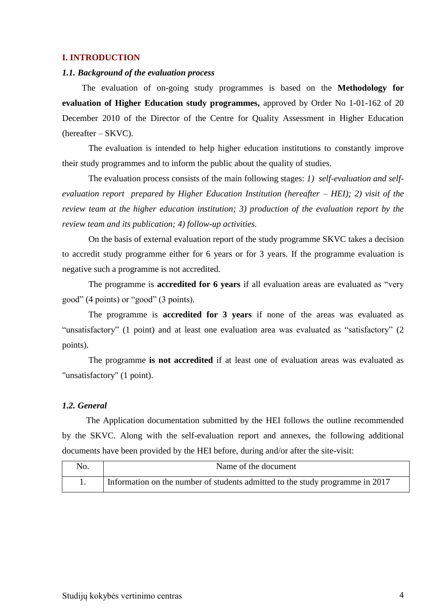#### <span id="page-3-0"></span>**I. INTRODUCTION**

#### <span id="page-3-1"></span>*1.1. Background of the evaluation process*

 The evaluation of on-going study programmes is based on the **Methodology for evaluation of Higher Education study programmes,** approved by Order No 1-01-162 of 20 December 2010 of the Director of the Centre for Quality Assessment in Higher Education (hereafter – SKVC).

The evaluation is intended to help higher education institutions to constantly improve their study programmes and to inform the public about the quality of studies.

The evaluation process consists of the main following stages: *1) self-evaluation and selfevaluation report prepared by Higher Education Institution (hereafter – HEI); 2) visit of the review team at the higher education institution; 3) production of the evaluation report by the review team and its publication; 4) follow-up activities.* 

On the basis of external evaluation report of the study programme SKVC takes a decision to accredit study programme either for 6 years or for 3 years. If the programme evaluation is negative such a programme is not accredited.

The programme is **accredited for 6 years** if all evaluation areas are evaluated as "very good" (4 points) or "good" (3 points).

The programme is **accredited for 3 years** if none of the areas was evaluated as "unsatisfactory" (1 point) and at least one evaluation area was evaluated as "satisfactory" (2 points).

The programme **is not accredited** if at least one of evaluation areas was evaluated as "unsatisfactory" (1 point).

#### <span id="page-3-2"></span>*1.2. General*

 The Application documentation submitted by the HEI follows the outline recommended by the SKVC. Along with the self-evaluation report and annexes, the following additional documents have been provided by the HEI before, during and/or after the site-visit:

| No. | Name of the document                                                          |
|-----|-------------------------------------------------------------------------------|
|     | Information on the number of students admitted to the study programme in 2017 |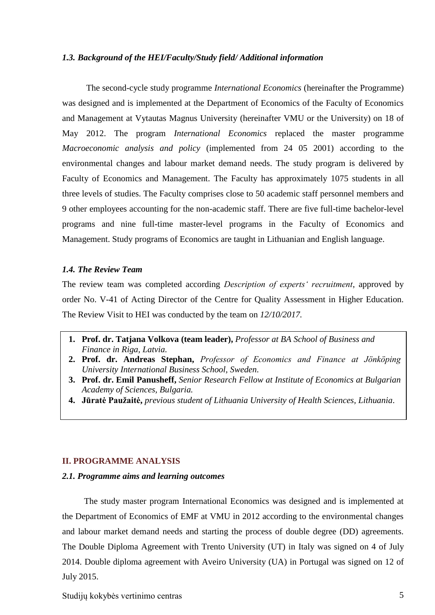#### <span id="page-4-0"></span>*1.3. Background of the HEI/Faculty/Study field/ Additional information*

 The second-cycle study programme *International Economics* (hereinafter the Programme) was designed and is implemented at the Department of Economics of the Faculty of Economics and Management at Vytautas Magnus University (hereinafter VMU or the University) on 18 of May 2012. The program *International Economics* replaced the master programme *Macroeconomic analysis and policy* (implemented from 24 05 2001) according to the environmental changes and labour market demand needs. The study program is delivered by Faculty of Economics and Management. The Faculty has approximately 1075 students in all three levels of studies. The Faculty comprises close to 50 academic staff personnel members and 9 other employees accounting for the non-academic staff. There are five full-time bachelor-level programs and nine full-time master-level programs in the Faculty of Economics and Management. Study programs of Economics are taught in Lithuanian and English language.

#### <span id="page-4-1"></span>*1.4. The Review Team*

The review team was completed according *Description of experts' recruitment*, approved by order No. V-41 of Acting Director of the Centre for Quality Assessment in Higher Education. The Review Visit to HEI was conducted by the team on *12/10/2017.*

- **1. Prof. dr. Tatjana Volkova (team leader),** *Professor at BA School of Business and Finance in Riga, Latvia.*
- **2. Prof. dr. Andreas Stephan,** *Professor of Economics and Finance at Jönköping University International Business School, Sweden.*
- **3. Prof. dr. Emil Panusheff,** *Senior Research Fellow at Institute of Economics at Bulgarian Academy of Sciences, Bulgaria.*
- **4. Jūratė Paužaitė,** *previous student of Lithuania University of Health Sciences, Lithuania*.

#### <span id="page-4-2"></span>**II. PROGRAMME ANALYSIS**

#### <span id="page-4-3"></span>*2.1. Programme aims and learning outcomes*

 The study master program International Economics was designed and is implemented at the Department of Economics of EMF at VMU in 2012 according to the environmental changes and labour market demand needs and starting the process of double degree (DD) agreements. The Double Diploma Agreement with Trento University (UT) in Italy was signed on 4 of July 2014. Double diploma agreement with Aveiro University (UA) in Portugal was signed on 12 of July 2015.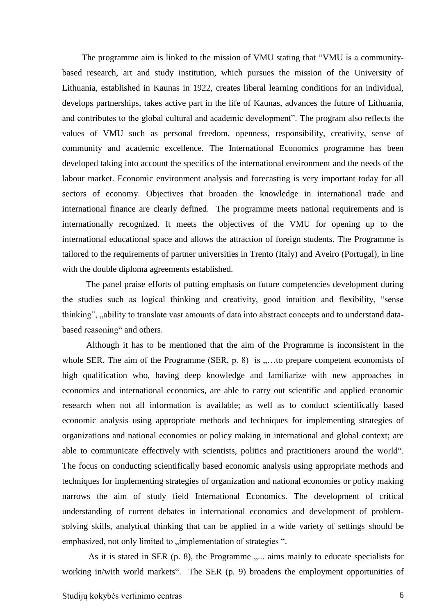The programme aim is linked to the mission of VMU stating that "VMU is a communitybased research, art and study institution, which pursues the mission of the University of Lithuania, established in Kaunas in 1922, creates liberal learning conditions for an individual, develops partnerships, takes active part in the life of Kaunas, advances the future of Lithuania, and contributes to the global cultural and academic development". The program also reflects the values of VMU such as personal freedom, openness, responsibility, creativity, sense of community and academic excellence. The International Economics programme has been developed taking into account the specifics of the international environment and the needs of the labour market. Economic environment analysis and forecasting is very important today for all sectors of economy. Objectives that broaden the knowledge in international trade and international finance are clearly defined. The programme meets national requirements and is internationally recognized. It meets the objectives of the VMU for opening up to the international educational space and allows the attraction of foreign students. The Programme is tailored to the requirements of partner universities in Trento (Italy) and Aveiro (Portugal), in line with the double diploma agreements established.

 The panel praise efforts of putting emphasis on future competencies development during the studies such as logical thinking and creativity, good intuition and flexibility, "sense thinking", "ability to translate vast amounts of data into abstract concepts and to understand databased reasoning" and others.

 Although it has to be mentioned that the aim of the Programme is inconsistent in the whole SER. The aim of the Programme (SER,  $p. 8$ ) is  $, \ldots$  to prepare competent economists of high qualification who, having deep knowledge and familiarize with new approaches in economics and international economics, are able to carry out scientific and applied economic research when not all information is available; as well as to conduct scientifically based economic analysis using appropriate methods and techniques for implementing strategies of organizations and national economies or policy making in international and global context; are able to communicate effectively with scientists, politics and practitioners around the world". The focus on conducting scientifically based economic analysis using appropriate methods and techniques for implementing strategies of organization and national economies or policy making narrows the aim of study field International Economics. The development of critical understanding of current debates in international economics and development of problemsolving skills, analytical thinking that can be applied in a wide variety of settings should be emphasized, not only limited to , implementation of strategies ".

As it is stated in SER  $(p. 8)$ , the Programme ,... aims mainly to educate specialists for working in/with world markets". The SER (p. 9) broadens the employment opportunities of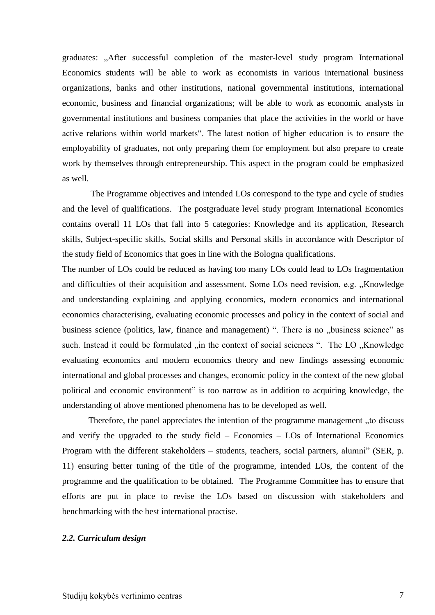graduates: "After successful completion of the master-level study program International Economics students will be able to work as economists in various international business organizations, banks and other institutions, national governmental institutions, international economic, business and financial organizations; will be able to work as economic analysts in governmental institutions and business companies that place the activities in the world or have active relations within world markets". The latest notion of higher education is to ensure the employability of graduates, not only preparing them for employment but also prepare to create work by themselves through entrepreneurship. This aspect in the program could be emphasized as well.

 The Programme objectives and intended LOs correspond to the type and cycle of studies and the level of qualifications. The postgraduate level study program International Economics contains overall 11 LOs that fall into 5 categories: Knowledge and its application, Research skills, Subject-specific skills, Social skills and Personal skills in accordance with Descriptor of the study field of Economics that goes in line with the Bologna qualifications.

The number of LOs could be reduced as having too many LOs could lead to LOs fragmentation and difficulties of their acquisition and assessment. Some LOs need revision, e.g. "Knowledge and understanding explaining and applying economics, modern economics and international economics characterising, evaluating economic processes and policy in the context of social and business science (politics, law, finance and management) ". There is no "business science" as such. Instead it could be formulated , in the context of social sciences ". The LO , Knowledge evaluating economics and modern economics theory and new findings assessing economic international and global processes and changes, economic policy in the context of the new global political and economic environment" is too narrow as in addition to acquiring knowledge, the understanding of above mentioned phenomena has to be developed as well.

Therefore, the panel appreciates the intention of the programme management , to discuss and verify the upgraded to the study field – Economics – LOs of International Economics Program with the different stakeholders – students, teachers, social partners, alumni" (SER, p. 11) ensuring better tuning of the title of the programme, intended LOs, the content of the programme and the qualification to be obtained. The Programme Committee has to ensure that efforts are put in place to revise the LOs based on discussion with stakeholders and benchmarking with the best international practise.

#### <span id="page-6-0"></span>*2.2. Curriculum design*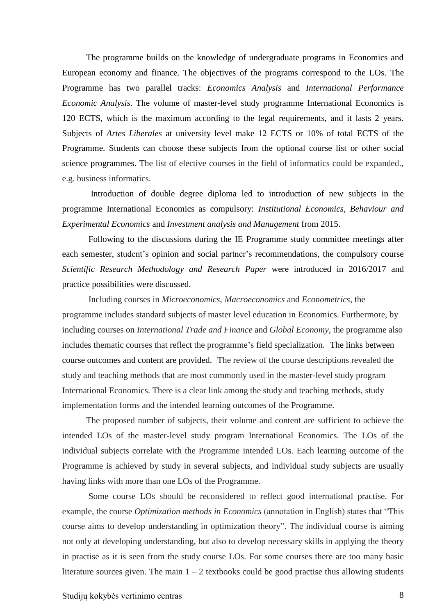The programme builds on the knowledge of undergraduate programs in Economics and European economy and finance. The objectives of the programs correspond to the LOs. The Programme has two parallel tracks: *Economics Analysis* and *International Performance Economic Analysis*. The volume of master-level study programme International Economics is 120 ECTS, which is the maximum according to the legal requirements, and it lasts 2 years. Subjects of *Artes Liberales* at university level make 12 ECTS or 10% of total ECTS of the Programme. Students can choose these subjects from the optional course list or other social science programmes. The list of elective courses in the field of informatics could be expanded., e.g. business informatics.

 Introduction of double degree diploma led to introduction of new subjects in the programme International Economics as compulsory: *Institutional Economics*, *Behaviour and Experimental Economics* and *Investment analysis and Management* from 2015.

 Following to the discussions during the IE Programme study committee meetings after each semester, student's opinion and social partner's recommendations, the compulsory course *Scientific Research Methodology and Research Paper* were introduced in 2016/2017 and practice possibilities were discussed.

 Including courses in *Microeconomics*, *Macroeconomics* and *Econometrics*, the programme includes standard subjects of master level education in Economics. Furthermore, by including courses on *International Trade and Finance* and *Global Economy,* the programme also includes thematic courses that reflect the programme's field specialization. The links between course outcomes and content are provided. The review of the course descriptions revealed the study and teaching methods that are most commonly used in the master-level study program International Economics. There is a clear link among the study and teaching methods, study implementation forms and the intended learning outcomes of the Programme.

 The proposed number of subjects, their volume and content are sufficient to achieve the intended LOs of the master-level study program International Economics. The LOs of the individual subjects correlate with the Programme intended LOs. Each learning outcome of the Programme is achieved by study in several subjects, and individual study subjects are usually having links with more than one LOs of the Programme.

 Some course LOs should be reconsidered to reflect good international practise. For example, the course *Optimization methods in Economics* (annotation in English) states that "This course aims to develop understanding in optimization theory". The individual course is aiming not only at developing understanding, but also to develop necessary skills in applying the theory in practise as it is seen from the study course LOs. For some courses there are too many basic literature sources given. The main  $1 - 2$  textbooks could be good practise thus allowing students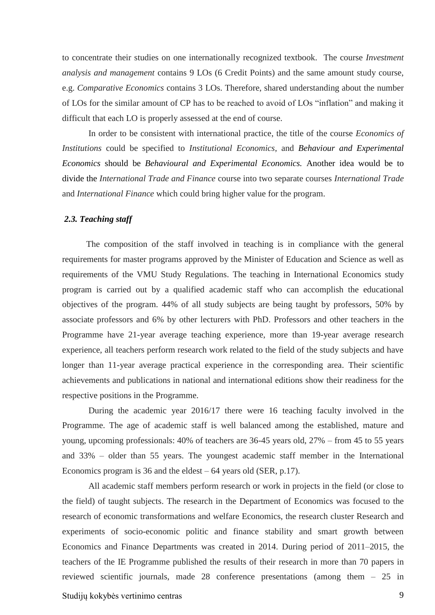to concentrate their studies on one internationally recognized textbook. The course *Investment analysis and management* contains 9 LOs (6 Credit Points) and the same amount study course, e.g. *Comparative Economics* contains 3 LOs. Therefore, shared understanding about the number of LOs for the similar amount of CP has to be reached to avoid of LOs "inflation" and making it difficult that each LO is properly assessed at the end of course.

 In order to be consistent with international practice, the title of the course *Economics of Institutions* could be specified to *Institutional Economics*, and *Behaviour and Experimental Economics* should be *Behavioural and Experimental Economics.* Another idea would be to divide the *International Trade and Finance* course into two separate courses *International Trade*  and *International Finance* which could bring higher value for the program.

#### <span id="page-8-0"></span>*2.3. Teaching staff*

 The composition of the staff involved in teaching is in compliance with the general requirements for master programs approved by the Minister of Education and Science as well as requirements of the VMU Study Regulations. The teaching in International Economics study program is carried out by a qualified academic staff who can accomplish the educational objectives of the program. 44% of all study subjects are being taught by professors, 50% by associate professors and 6% by other lecturers with PhD. Professors and other teachers in the Programme have 21-year average teaching experience, more than 19-year average research experience, all teachers perform research work related to the field of the study subjects and have longer than 11-year average practical experience in the corresponding area. Their scientific achievements and publications in national and international editions show their readiness for the respective positions in the Programme.

 During the academic year 2016/17 there were 16 teaching faculty involved in the Programme. The age of academic staff is well balanced among the established, mature and young, upcoming professionals: 40% of teachers are 36-45 years old, 27% – from 45 to 55 years and 33% – older than 55 years. The youngest academic staff member in the International Economics program is 36 and the eldest – 64 years old (SER, p.17).

 All academic staff members perform research or work in projects in the field (or close to the field) of taught subjects. The research in the Department of Economics was focused to the research of economic transformations and welfare Economics, the research cluster Research and experiments of socio-economic politic and finance stability and smart growth between Economics and Finance Departments was created in 2014. During period of 2011–2015, the teachers of the IE Programme published the results of their research in more than 70 papers in reviewed scientific journals, made 28 conference presentations (among them – 25 in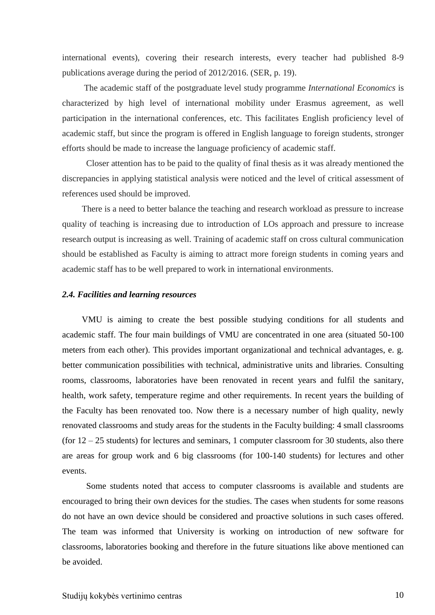international events), covering their research interests, every teacher had published 8-9 publications average during the period of 2012/2016. (SER, p. 19).

 The academic staff of the postgraduate level study programme *International Economics* is characterized by high level of international mobility under Erasmus agreement, as well participation in the international conferences, etc. This facilitates English proficiency level of academic staff, but since the program is offered in English language to foreign students, stronger efforts should be made to increase the language proficiency of academic staff.

 Closer attention has to be paid to the quality of final thesis as it was already mentioned the discrepancies in applying statistical analysis were noticed and the level of critical assessment of references used should be improved.

 There is a need to better balance the teaching and research workload as pressure to increase quality of teaching is increasing due to introduction of LOs approach and pressure to increase research output is increasing as well. Training of academic staff on cross cultural communication should be established as Faculty is aiming to attract more foreign students in coming years and academic staff has to be well prepared to work in international environments.

#### <span id="page-9-0"></span>*2.4. Facilities and learning resources*

 VMU is aiming to create the best possible studying conditions for all students and academic staff. The four main buildings of VMU are concentrated in one area (situated 50-100 meters from each other). This provides important organizational and technical advantages, e. g. better communication possibilities with technical, administrative units and libraries. Consulting rooms, classrooms, laboratories have been renovated in recent years and fulfil the sanitary, health, work safety, temperature regime and other requirements. In recent years the building of the Faculty has been renovated too. Now there is a necessary number of high quality, newly renovated classrooms and study areas for the students in the Faculty building: 4 small classrooms (for 12 – 25 students) for lectures and seminars, 1 computer classroom for 30 students, also there are areas for group work and 6 big classrooms (for 100-140 students) for lectures and other events.

 Some students noted that access to computer classrooms is available and students are encouraged to bring their own devices for the studies. The cases when students for some reasons do not have an own device should be considered and proactive solutions in such cases offered. The team was informed that University is working on introduction of new software for classrooms, laboratories booking and therefore in the future situations like above mentioned can be avoided.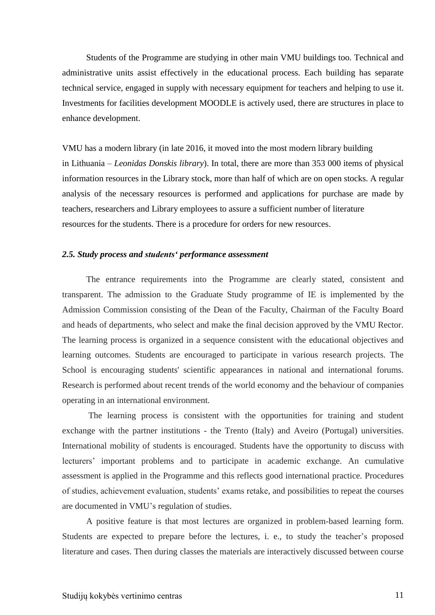Students of the Programme are studying in other main VMU buildings too. Technical and administrative units assist effectively in the educational process. Each building has separate technical service, engaged in supply with necessary equipment for teachers and helping to use it. Investments for facilities development MOODLE is actively used, there are structures in place to enhance development.

VMU has a modern library (in late 2016, it moved into the most modern library building in Lithuania – *Leonidas Donskis library*). In total, there are more than 353 000 items of physical information resources in the Library stock, more than half of which are on open stocks. A regular analysis of the necessary resources is performed and applications for purchase are made by teachers, researchers and Library employees to assure a sufficient number of literature resources for the students. There is a procedure for orders for new resources.

#### <span id="page-10-0"></span>*2.5. Study process and students' performance assessment*

 The entrance requirements into the Programme are clearly stated, consistent and transparent. The admission to the Graduate Study programme of IE is implemented by the Admission Commission consisting of the Dean of the Faculty, Chairman of the Faculty Board and heads of departments, who select and make the final decision approved by the VMU Rector. The learning process is organized in a sequence consistent with the educational objectives and learning outcomes. Students are encouraged to participate in various research projects. The School is encouraging students' scientific appearances in national and international forums. Research is performed about recent trends of the world economy and the behaviour of companies operating in an international environment.

 The learning process is consistent with the opportunities for training and student exchange with the partner institutions - the Trento (Italy) and Aveiro (Portugal) universities. International mobility of students is encouraged. Students have the opportunity to discuss with lecturers' important problems and to participate in academic exchange. An cumulative assessment is applied in the Programme and this reflects good international practice. Procedures of studies, achievement evaluation, students' exams retake, and possibilities to repeat the courses are documented in VMU's regulation of studies.

 A positive feature is that most lectures are organized in problem-based learning form. Students are expected to prepare before the lectures, i. e., to study the teacher's proposed literature and cases. Then during classes the materials are interactively discussed between course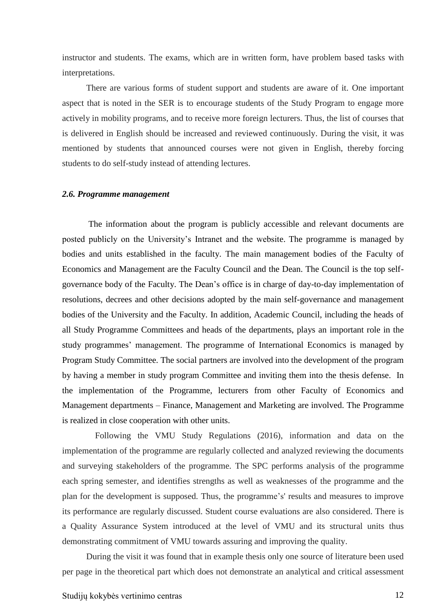instructor and students. The exams, which are in written form, have problem based tasks with interpretations.

 There are various forms of student support and students are aware of it. One important aspect that is noted in the SER is to encourage students of the Study Program to engage more actively in mobility programs, and to receive more foreign lecturers. Thus, the list of courses that is delivered in English should be increased and reviewed continuously. During the visit, it was mentioned by students that announced courses were not given in English, thereby forcing students to do self-study instead of attending lectures.

#### <span id="page-11-0"></span>*2.6. Programme management*

 The information about the program is publicly accessible and relevant documents are posted publicly on the University's Intranet and the website. The programme is managed by bodies and units established in the faculty. The main management bodies of the Faculty of Economics and Management are the Faculty Council and the Dean. The Council is the top selfgovernance body of the Faculty. The Dean's office is in charge of day-to-day implementation of resolutions, decrees and other decisions adopted by the main self-governance and management bodies of the University and the Faculty. In addition, Academic Council, including the heads of all Study Programme Committees and heads of the departments, plays an important role in the study programmes' management. The programme of International Economics is managed by Program Study Committee. The social partners are involved into the development of the program by having a member in study program Committee and inviting them into the thesis defense. In the implementation of the Programme, lecturers from other Faculty of Economics and Management departments – Finance, Management and Marketing are involved. The Programme is realized in close cooperation with other units.

 Following the VMU Study Regulations (2016), information and data on the implementation of the programme are regularly collected and analyzed reviewing the documents and surveying stakeholders of the programme. The SPC performs analysis of the programme each spring semester, and identifies strengths as well as weaknesses of the programme and the plan for the development is supposed. Thus, the programme's' results and measures to improve its performance are regularly discussed. Student course evaluations are also considered. There is a Quality Assurance System introduced at the level of VMU and its structural units thus demonstrating commitment of VMU towards assuring and improving the quality.

 During the visit it was found that in example thesis only one source of literature been used per page in the theoretical part which does not demonstrate an analytical and critical assessment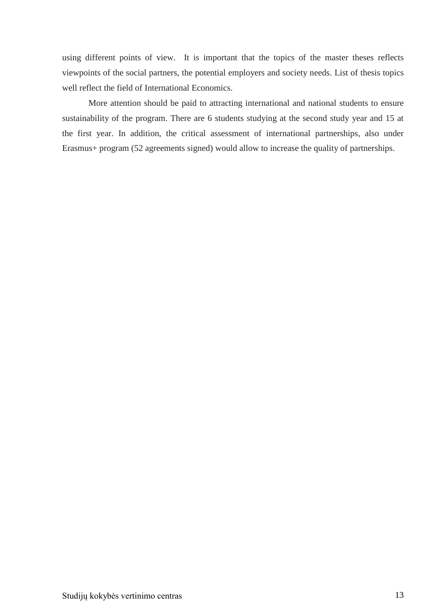using different points of view. It is important that the topics of the master theses reflects viewpoints of the social partners, the potential employers and society needs. List of thesis topics well reflect the field of International Economics.

 More attention should be paid to attracting international and national students to ensure sustainability of the program. There are 6 students studying at the second study year and 15 at the first year. In addition, the critical assessment of international partnerships, also under Erasmus+ program (52 agreements signed) would allow to increase the quality of partnerships.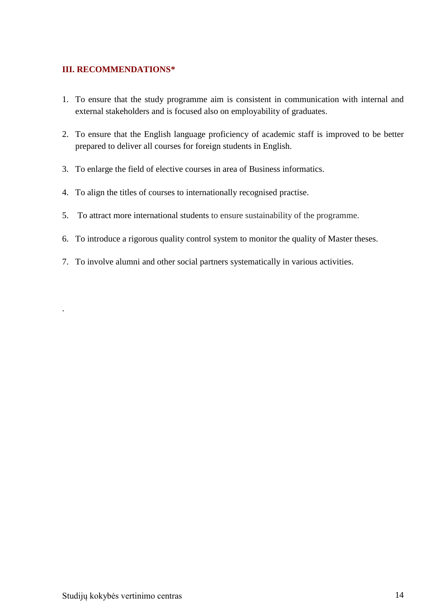### <span id="page-13-0"></span>**III. RECOMMENDATIONS\***

.

- 1. To ensure that the study programme aim is consistent in communication with internal and external stakeholders and is focused also on employability of graduates.
- 2. To ensure that the English language proficiency of academic staff is improved to be better prepared to deliver all courses for foreign students in English.
- 3. To enlarge the field of elective courses in area of Business informatics.
- 4. To align the titles of courses to internationally recognised practise.
- 5. To attract more international students to ensure sustainability of the programme.
- 6. To introduce a rigorous quality control system to monitor the quality of Master theses.
- 7. To involve alumni and other social partners systematically in various activities.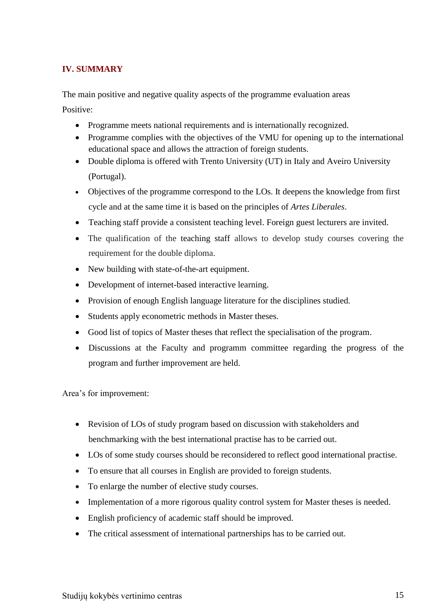### <span id="page-14-0"></span>**IV. SUMMARY**

The main positive and negative quality aspects of the programme evaluation areas Positive:

- Programme meets national requirements and is internationally recognized.
- Programme complies with the objectives of the VMU for opening up to the international educational space and allows the attraction of foreign students.
- Double diploma is offered with Trento University (UT) in Italy and Aveiro University (Portugal).
- Objectives of the programme correspond to the LOs. It deepens the knowledge from first cycle and at the same time it is based on the principles of *Artes Liberales*.
- Teaching staff provide a consistent teaching level. Foreign guest lecturers are invited.
- The qualification of the teaching staff allows to develop study courses covering the requirement for the double diploma.
- New building with state-of-the-art equipment.
- Development of internet-based interactive learning.
- Provision of enough English language literature for the disciplines studied.
- Students apply econometric methods in Master theses.
- Good list of topics of Master theses that reflect the specialisation of the program.
- Discussions at the Faculty and programm committee regarding the progress of the program and further improvement are held.

Area's for improvement:

- Revision of LOs of study program based on discussion with stakeholders and benchmarking with the best international practise has to be carried out.
- LOs of some study courses should be reconsidered to reflect good international practise.
- To ensure that all courses in English are provided to foreign students.
- To enlarge the number of elective study courses.
- Implementation of a more rigorous quality control system for Master theses is needed.
- English proficiency of academic staff should be improved.
- The critical assessment of international partnerships has to be carried out.